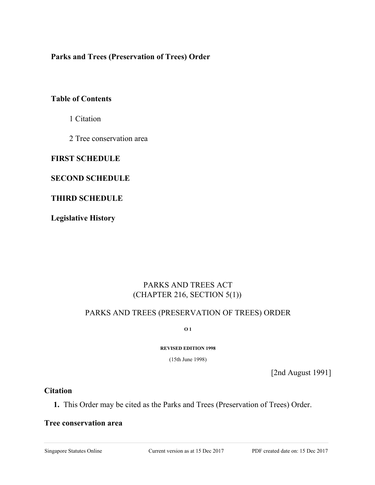**Parks and Trees (Preservation of Trees) Order**

# **Table of Contents**

1 Citation

2 Tree conservation area

## **FIRST SCHEDULE**

## **SECOND SCHEDULE**

# **THIRD SCHEDULE**

**Legislative History**

# PARKS AND TREES ACT (CHAPTER 216, SECTION 5(1))

# PARKS AND TREES (PRESERVATION OF TREES) ORDER

**O 1**

**REVISED EDITION 1998**

(15th June 1998)

[2nd August 1991]

## **Citation**

**1.** This Order may be cited as the Parks and Trees (Preservation of Trees) Order.

### **Tree conservation area**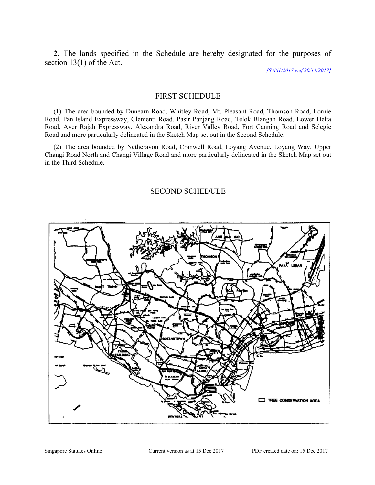**2.** The lands specified in the Schedule are hereby designated for the purposes of section 13(1) of the Act.

*[S 661/2017 wef 20/11/2017]*

### FIRST SCHEDULE

(1) The area bounded by Dunearn Road, Whitley Road, Mt. Pleasant Road, Thomson Road, Lornie Road, Pan Island Expressway, Clementi Road, Pasir Panjang Road, Telok Blangah Road, Lower Delta Road, Ayer Rajah Expressway, Alexandra Road, River Valley Road, Fort Canning Road and Selegie Road and more particularly delineated in the Sketch Map set out in the Second Schedule.

(2) The area bounded by Netheravon Road, Cranwell Road, Loyang Avenue, Loyang Way, Upper Changi Road North and Changi Village Road and more particularly delineated in the Sketch Map set out in the Third Schedule.

### SECOND SCHEDULE

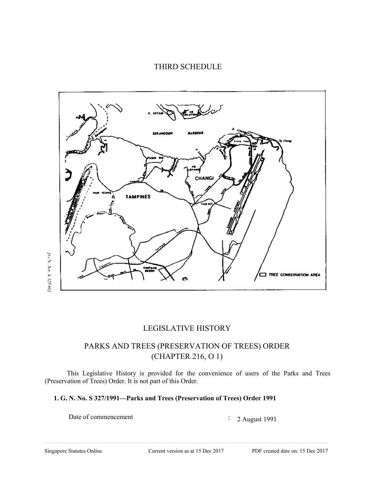# THIRD SCHEDULE



# LEGISLATIVE HISTORY

# PARKS AND TREES (PRESERVATION OF TREES) ORDER (CHAPTER 216, O 1)

This Legislative History is provided for the convenience of users of the Parks and Trees (Preservation of Trees) Order. It is not part of this Order.

#### **1. G. N. No. S 327/1991—Parks and Trees (Preservation of Trees) Order 1991**

Date of commencement : 2 August 1991